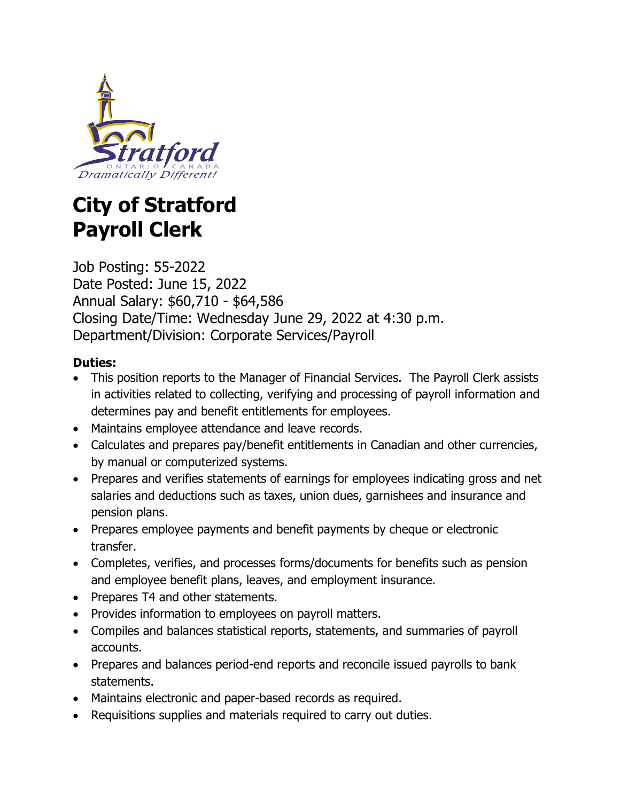

# **City of Stratford Payroll Clerk**

Job Posting: 55-2022 Date Posted: June 15, 2022 Annual Salary: \$60,710 - \$64,586 Closing Date/Time: Wednesday June 29, 2022 at 4:30 p.m. Department/Division: Corporate Services/Payroll

# **Duties:**

- This position reports to the Manager of Financial Services. The Payroll Clerk assists in activities related to collecting, verifying and processing of payroll information and determines pay and benefit entitlements for employees.
- Maintains employee attendance and leave records.
- Calculates and prepares pay/benefit entitlements in Canadian and other currencies, by manual or computerized systems.
- Prepares and verifies statements of earnings for employees indicating gross and net salaries and deductions such as taxes, union dues, garnishees and insurance and pension plans.
- Prepares employee payments and benefit payments by cheque or electronic transfer.
- Completes, verifies, and processes forms/documents for benefits such as pension and employee benefit plans, leaves, and employment insurance.
- Prepares T4 and other statements.
- Provides information to employees on payroll matters.
- Compiles and balances statistical reports, statements, and summaries of payroll accounts.
- Prepares and balances period-end reports and reconcile issued payrolls to bank statements.
- Maintains electronic and paper-based records as required.
- Requisitions supplies and materials required to carry out duties.